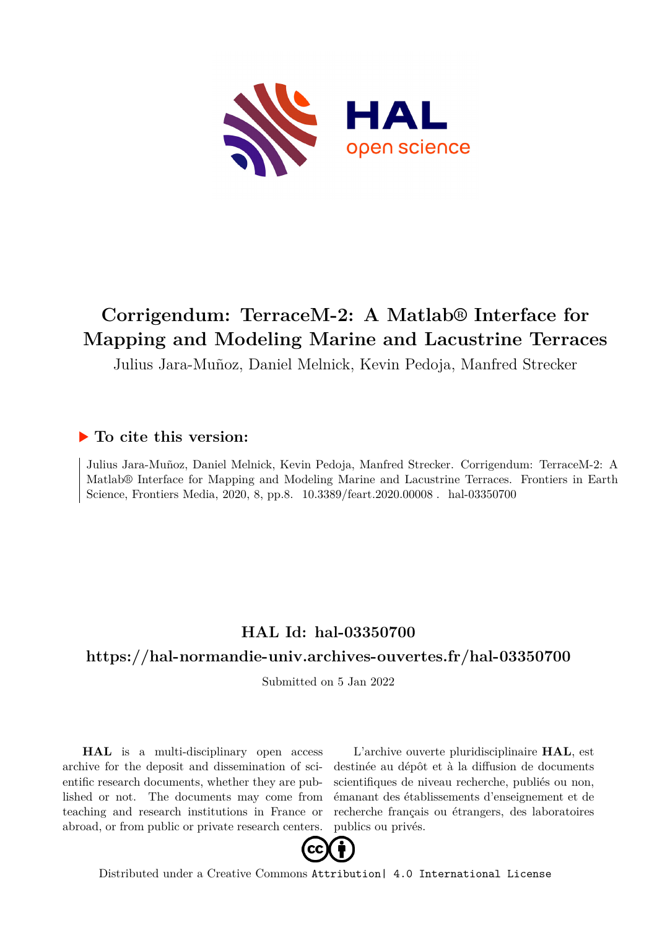

# **Corrigendum: TerraceM-2: A Matlab® Interface for Mapping and Modeling Marine and Lacustrine Terraces**

Julius Jara-Muñoz, Daniel Melnick, Kevin Pedoja, Manfred Strecker

## **To cite this version:**

Julius Jara-Muñoz, Daniel Melnick, Kevin Pedoja, Manfred Strecker. Corrigendum: TerraceM-2: A Matlab® Interface for Mapping and Modeling Marine and Lacustrine Terraces. Frontiers in Earth Science, Frontiers Media, 2020, 8, pp.8. 10.3389/feart.2020.00008. hal-03350700

## **HAL Id: hal-03350700**

## **<https://hal-normandie-univ.archives-ouvertes.fr/hal-03350700>**

Submitted on 5 Jan 2022

**HAL** is a multi-disciplinary open access archive for the deposit and dissemination of scientific research documents, whether they are published or not. The documents may come from teaching and research institutions in France or abroad, or from public or private research centers.

L'archive ouverte pluridisciplinaire **HAL**, est destinée au dépôt et à la diffusion de documents scientifiques de niveau recherche, publiés ou non, émanant des établissements d'enseignement et de recherche français ou étrangers, des laboratoires publics ou privés.



Distributed under a Creative Commons [Attribution| 4.0 International License](http://creativecommons.org/licenses/by/4.0/)